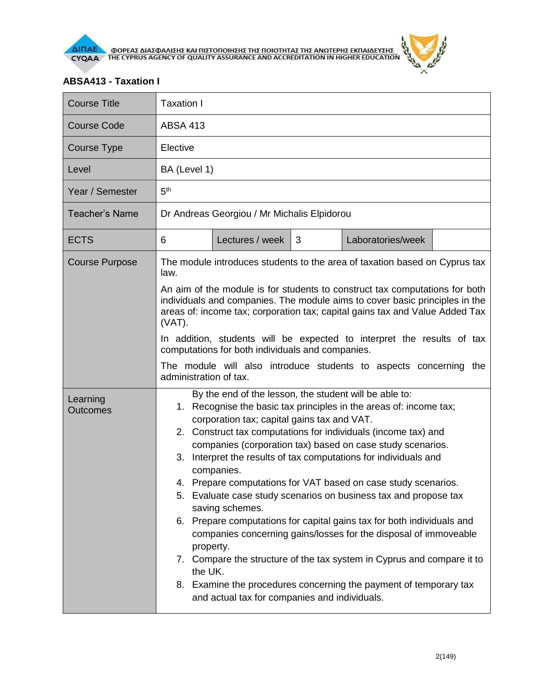

## **ABSA413 - Taxation I**

| <b>Course Title</b>         | Taxation I                                                                                                                                                                                                                                                                                                                                                                                                                                                                                                                                                                                                                                                                                                                                                                                                                                                                                                                         |  |  |  |  |
|-----------------------------|------------------------------------------------------------------------------------------------------------------------------------------------------------------------------------------------------------------------------------------------------------------------------------------------------------------------------------------------------------------------------------------------------------------------------------------------------------------------------------------------------------------------------------------------------------------------------------------------------------------------------------------------------------------------------------------------------------------------------------------------------------------------------------------------------------------------------------------------------------------------------------------------------------------------------------|--|--|--|--|
| <b>Course Code</b>          | <b>ABSA 413</b>                                                                                                                                                                                                                                                                                                                                                                                                                                                                                                                                                                                                                                                                                                                                                                                                                                                                                                                    |  |  |  |  |
| <b>Course Type</b>          | Elective                                                                                                                                                                                                                                                                                                                                                                                                                                                                                                                                                                                                                                                                                                                                                                                                                                                                                                                           |  |  |  |  |
| Level                       | BA (Level 1)                                                                                                                                                                                                                                                                                                                                                                                                                                                                                                                                                                                                                                                                                                                                                                                                                                                                                                                       |  |  |  |  |
| Year / Semester             | 5 <sup>th</sup>                                                                                                                                                                                                                                                                                                                                                                                                                                                                                                                                                                                                                                                                                                                                                                                                                                                                                                                    |  |  |  |  |
| <b>Teacher's Name</b>       | Dr Andreas Georgiou / Mr Michalis Elpidorou                                                                                                                                                                                                                                                                                                                                                                                                                                                                                                                                                                                                                                                                                                                                                                                                                                                                                        |  |  |  |  |
| <b>ECTS</b>                 | Lectures / week<br>3<br>Laboratories/week<br>6                                                                                                                                                                                                                                                                                                                                                                                                                                                                                                                                                                                                                                                                                                                                                                                                                                                                                     |  |  |  |  |
| <b>Course Purpose</b>       | The module introduces students to the area of taxation based on Cyprus tax<br>law.                                                                                                                                                                                                                                                                                                                                                                                                                                                                                                                                                                                                                                                                                                                                                                                                                                                 |  |  |  |  |
|                             | An aim of the module is for students to construct tax computations for both<br>individuals and companies. The module aims to cover basic principles in the<br>areas of: income tax; corporation tax; capital gains tax and Value Added Tax<br>(VAT).<br>In addition, students will be expected to interpret the results of tax<br>computations for both individuals and companies.<br>The module will also introduce students to aspects concerning the<br>administration of tax.                                                                                                                                                                                                                                                                                                                                                                                                                                                  |  |  |  |  |
|                             |                                                                                                                                                                                                                                                                                                                                                                                                                                                                                                                                                                                                                                                                                                                                                                                                                                                                                                                                    |  |  |  |  |
|                             |                                                                                                                                                                                                                                                                                                                                                                                                                                                                                                                                                                                                                                                                                                                                                                                                                                                                                                                                    |  |  |  |  |
| Learning<br><b>Outcomes</b> | By the end of the lesson, the student will be able to:<br>1. Recognise the basic tax principles in the areas of: income tax;<br>corporation tax; capital gains tax and VAT.<br>2. Construct tax computations for individuals (income tax) and<br>companies (corporation tax) based on case study scenarios.<br>Interpret the results of tax computations for individuals and<br>3.<br>companies.<br>Prepare computations for VAT based on case study scenarios.<br>4.<br>5. Evaluate case study scenarios on business tax and propose tax<br>saving schemes.<br>6. Prepare computations for capital gains tax for both individuals and<br>companies concerning gains/losses for the disposal of immoveable<br>property.<br>7. Compare the structure of the tax system in Cyprus and compare it to<br>the UK.<br>8. Examine the procedures concerning the payment of temporary tax<br>and actual tax for companies and individuals. |  |  |  |  |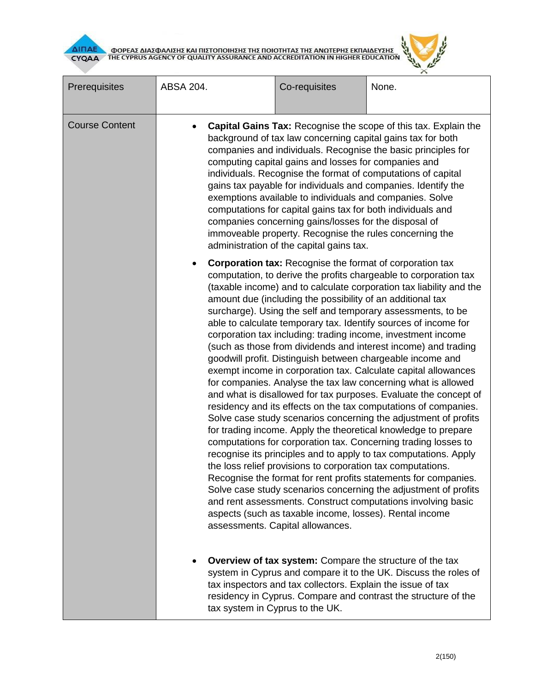

| Prerequisites         | ABSA 204.                                | Co-requisites                                                                                                                                                                                                                                                                                                                                                                                                                                                                                                                                                                                                                                                                                                                                                                                                                                                                                                                                                                                                                                                                                                                                                                                                                                                                                                                                                                                                                                                                                                                       | None.                                                                                                                                                                                                |
|-----------------------|------------------------------------------|-------------------------------------------------------------------------------------------------------------------------------------------------------------------------------------------------------------------------------------------------------------------------------------------------------------------------------------------------------------------------------------------------------------------------------------------------------------------------------------------------------------------------------------------------------------------------------------------------------------------------------------------------------------------------------------------------------------------------------------------------------------------------------------------------------------------------------------------------------------------------------------------------------------------------------------------------------------------------------------------------------------------------------------------------------------------------------------------------------------------------------------------------------------------------------------------------------------------------------------------------------------------------------------------------------------------------------------------------------------------------------------------------------------------------------------------------------------------------------------------------------------------------------------|------------------------------------------------------------------------------------------------------------------------------------------------------------------------------------------------------|
| <b>Course Content</b> | administration of the capital gains tax. | Capital Gains Tax: Recognise the scope of this tax. Explain the<br>background of tax law concerning capital gains tax for both<br>companies and individuals. Recognise the basic principles for<br>computing capital gains and losses for companies and<br>individuals. Recognise the format of computations of capital<br>gains tax payable for individuals and companies. Identify the<br>exemptions available to individuals and companies. Solve<br>computations for capital gains tax for both individuals and<br>companies concerning gains/losses for the disposal of<br>immoveable property. Recognise the rules concerning the                                                                                                                                                                                                                                                                                                                                                                                                                                                                                                                                                                                                                                                                                                                                                                                                                                                                                             |                                                                                                                                                                                                      |
|                       |                                          | <b>Corporation tax:</b> Recognise the format of corporation tax<br>computation, to derive the profits chargeable to corporation tax<br>(taxable income) and to calculate corporation tax liability and the<br>amount due (including the possibility of an additional tax<br>surcharge). Using the self and temporary assessments, to be<br>able to calculate temporary tax. Identify sources of income for<br>corporation tax including: trading income, investment income<br>(such as those from dividends and interest income) and trading<br>goodwill profit. Distinguish between chargeable income and<br>exempt income in corporation tax. Calculate capital allowances<br>for companies. Analyse the tax law concerning what is allowed<br>and what is disallowed for tax purposes. Evaluate the concept of<br>residency and its effects on the tax computations of companies.<br>Solve case study scenarios concerning the adjustment of profits<br>for trading income. Apply the theoretical knowledge to prepare<br>computations for corporation tax. Concerning trading losses to<br>recognise its principles and to apply to tax computations. Apply<br>the loss relief provisions to corporation tax computations.<br>Recognise the format for rent profits statements for companies.<br>Solve case study scenarios concerning the adjustment of profits<br>and rent assessments. Construct computations involving basic<br>aspects (such as taxable income, losses). Rental income<br>assessments. Capital allowances. |                                                                                                                                                                                                      |
|                       |                                          | tax inspectors and tax collectors. Explain the issue of tax<br>tax system in Cyprus to the UK.                                                                                                                                                                                                                                                                                                                                                                                                                                                                                                                                                                                                                                                                                                                                                                                                                                                                                                                                                                                                                                                                                                                                                                                                                                                                                                                                                                                                                                      | <b>Overview of tax system:</b> Compare the structure of the tax<br>system in Cyprus and compare it to the UK. Discuss the roles of<br>residency in Cyprus. Compare and contrast the structure of the |

 $\mu$  $\times$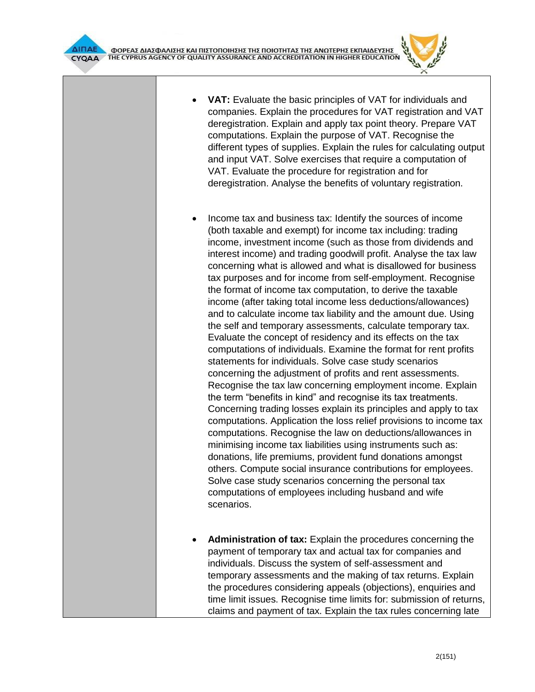



- **VAT:** Evaluate the basic principles of VAT for individuals and companies. Explain the procedures for VAT registration and VAT deregistration. Explain and apply tax point theory. Prepare VAT computations. Explain the purpose of VAT. Recognise the different types of supplies. Explain the rules for calculating output and input VAT. Solve exercises that require a computation of VAT. Evaluate the procedure for registration and for deregistration. Analyse the benefits of voluntary registration.
- Income tax and business tax: Identify the sources of income (both taxable and exempt) for income tax including: trading income, investment income (such as those from dividends and interest income) and trading goodwill profit. Analyse the tax law concerning what is allowed and what is disallowed for business tax purposes and for income from self-employment. Recognise the format of income tax computation, to derive the taxable income (after taking total income less deductions/allowances) and to calculate income tax liability and the amount due. Using the self and temporary assessments, calculate temporary tax. Evaluate the concept of residency and its effects on the tax computations of individuals. Examine the format for rent profits statements for individuals. Solve case study scenarios concerning the adjustment of profits and rent assessments. Recognise the tax law concerning employment income. Explain the term "benefits in kind" and recognise its tax treatments. Concerning trading losses explain its principles and apply to tax computations. Application the loss relief provisions to income tax computations. Recognise the law on deductions/allowances in minimising income tax liabilities using instruments such as: donations, life premiums, provident fund donations amongst others. Compute social insurance contributions for employees. Solve case study scenarios concerning the personal tax computations of employees including husband and wife scenarios.
- **Administration of tax:** Explain the procedures concerning the payment of temporary tax and actual tax for companies and individuals. Discuss the system of self-assessment and temporary assessments and the making of tax returns. Explain the procedures considering appeals (objections), enquiries and time limit issues. Recognise time limits for: submission of returns, claims and payment of tax. Explain the tax rules concerning late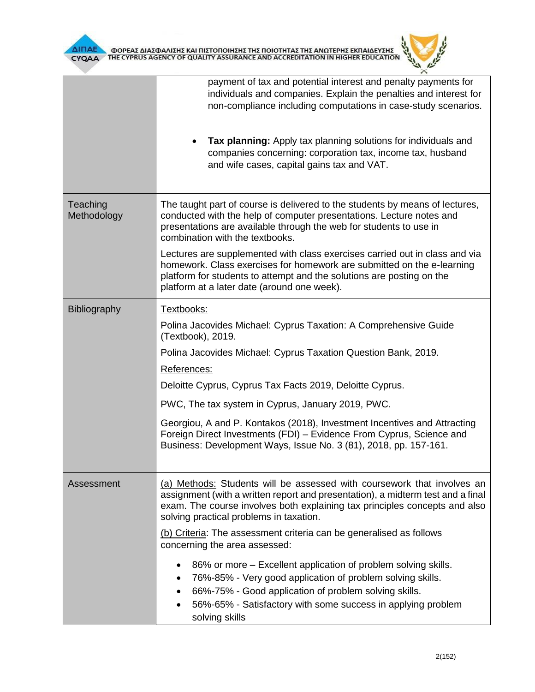



|                         | payment of tax and potential interest and penalty payments for<br>individuals and companies. Explain the penalties and interest for<br>non-compliance including computations in case-study scenarios.<br>Tax planning: Apply tax planning solutions for individuals and<br>companies concerning: corporation tax, income tax, husband<br>and wife cases, capital gains tax and VAT. |  |  |
|-------------------------|-------------------------------------------------------------------------------------------------------------------------------------------------------------------------------------------------------------------------------------------------------------------------------------------------------------------------------------------------------------------------------------|--|--|
|                         |                                                                                                                                                                                                                                                                                                                                                                                     |  |  |
| Teaching<br>Methodology | The taught part of course is delivered to the students by means of lectures,<br>conducted with the help of computer presentations. Lecture notes and<br>presentations are available through the web for students to use in<br>combination with the textbooks.                                                                                                                       |  |  |
|                         | Lectures are supplemented with class exercises carried out in class and via<br>homework. Class exercises for homework are submitted on the e-learning<br>platform for students to attempt and the solutions are posting on the<br>platform at a later date (around one week).                                                                                                       |  |  |
| Bibliography            | Textbooks:                                                                                                                                                                                                                                                                                                                                                                          |  |  |
|                         | Polina Jacovides Michael: Cyprus Taxation: A Comprehensive Guide<br>(Textbook), 2019.                                                                                                                                                                                                                                                                                               |  |  |
|                         | Polina Jacovides Michael: Cyprus Taxation Question Bank, 2019.                                                                                                                                                                                                                                                                                                                      |  |  |
|                         | References:                                                                                                                                                                                                                                                                                                                                                                         |  |  |
|                         | Deloitte Cyprus, Cyprus Tax Facts 2019, Deloitte Cyprus.                                                                                                                                                                                                                                                                                                                            |  |  |
|                         | PWC, The tax system in Cyprus, January 2019, PWC.                                                                                                                                                                                                                                                                                                                                   |  |  |
|                         | Georgiou, A and P. Kontakos (2018), Investment Incentives and Attracting<br>Foreign Direct Investments (FDI) - Evidence From Cyprus, Science and<br>Business: Development Ways, Issue No. 3 (81), 2018, pp. 157-161.                                                                                                                                                                |  |  |
| Assessment              | (a) Methods: Students will be assessed with coursework that involves an<br>assignment (with a written report and presentation), a midterm test and a final<br>exam. The course involves both explaining tax principles concepts and also<br>solving practical problems in taxation.                                                                                                 |  |  |
|                         | (b) Criteria: The assessment criteria can be generalised as follows<br>concerning the area assessed:                                                                                                                                                                                                                                                                                |  |  |
|                         | 86% or more – Excellent application of problem solving skills.<br>76%-85% - Very good application of problem solving skills.<br>$\bullet$<br>66%-75% - Good application of problem solving skills.<br>56%-65% - Satisfactory with some success in applying problem<br>solving skills                                                                                                |  |  |